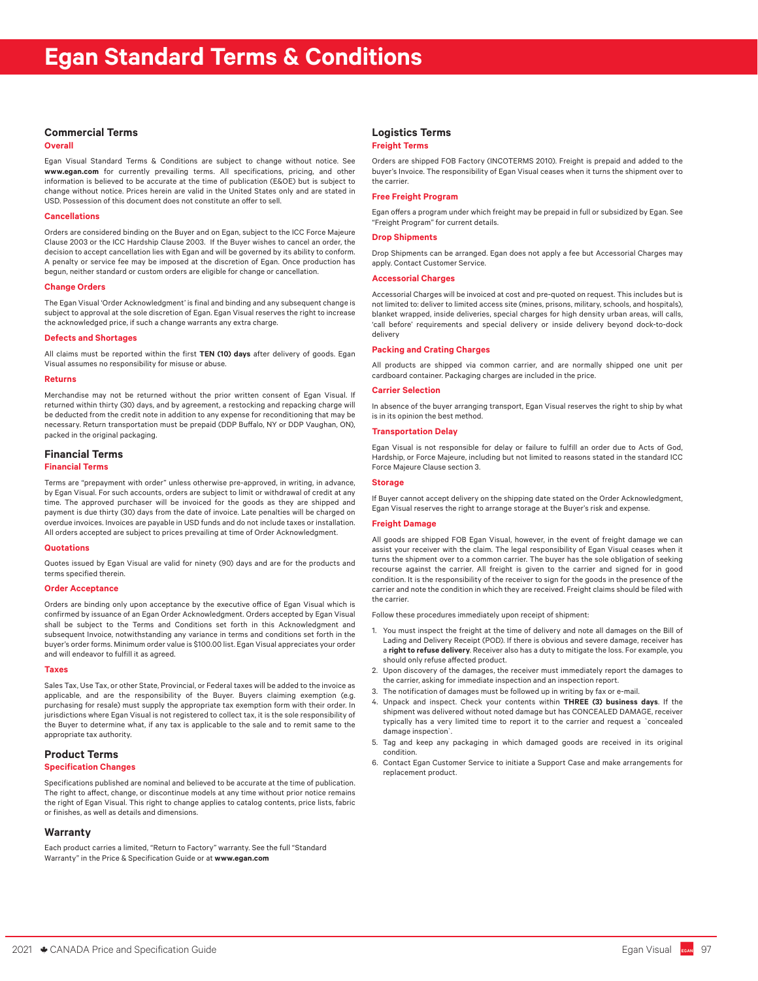## **Commercial Terms**

#### **Overall**

Egan Visual Standard Terms & Conditions are subject to change without notice. See **www.egan.com** for currently prevailing terms. All specifications, pricing, and other information is believed to be accurate at the time of publication (E&OE) but is subject to change without notice. Prices herein are valid in the United States only and are stated in USD. Possession of this document does not constitute an offer to sell.

## **Cancellations**

Orders are considered binding on the Buyer and on Egan, subject to the ICC Force Majeure Clause 2003 or the ICC Hardship Clause 2003. If the Buyer wishes to cancel an order, the decision to accept cancellation lies with Egan and will be governed by its ability to conform. A penalty or service fee may be imposed at the discretion of Egan. Once production has begun, neither standard or custom orders are eligible for change or cancellation.

#### **Change Orders**

The Egan Visual 'Order Acknowledgment' is final and binding and any subsequent change is subject to approval at the sole discretion of Egan. Egan Visual reserves the right to increase the acknowledged price, if such a change warrants any extra charge.

## **Defects and Shortages**

All claims must be reported within the first **TEN (10) days** after delivery of goods. Egan Visual assumes no responsibility for misuse or abuse.

#### **Returns**

Merchandise may not be returned without the prior written consent of Egan Visual. If returned within thirty (30) days, and by agreement, a restocking and repacking charge will be deducted from the credit note in addition to any expense for reconditioning that may be necessary. Return transportation must be prepaid (DDP Buffalo, NY or DDP Vaughan, ON), packed in the original packaging.

## **Financial Terms**

#### **Financial Terms**

Terms are "prepayment with order" unless otherwise pre-approved, in writing, in advance, by Egan Visual. For such accounts, orders are subject to limit or withdrawal of credit at any time. The approved purchaser will be invoiced for the goods as they are shipped and payment is due thirty (30) days from the date of invoice. Late penalties will be charged on overdue invoices. Invoices are payable in USD funds and do not include taxes or installation. All orders accepted are subject to prices prevailing at time of Order Acknowledgment.

#### **Quotations**

Quotes issued by Egan Visual are valid for ninety (90) days and are for the products and terms specified therein.

#### **Order Acceptance**

Orders are binding only upon acceptance by the executive office of Egan Visual which is confirmed by issuance of an Egan Order Acknowledgment. Orders accepted by Egan Visual shall be subject to the Terms and Conditions set forth in this Acknowledgment and subsequent Invoice, notwithstanding any variance in terms and conditions set forth in the buyer's order forms. Minimum order value is \$100.00 list. Egan Visual appreciates your order and will endeavor to fulfill it as agreed.

#### **Taxes**

Sales Tax, Use Tax, or other State, Provincial, or Federal taxes will be added to the invoice as applicable, and are the responsibility of the Buyer. Buyers claiming exemption (e.g. purchasing for resale) must supply the appropriate tax exemption form with their order. In jurisdictions where Egan Visual is not registered to collect tax, it is the sole responsibility of the Buyer to determine what, if any tax is applicable to the sale and to remit same to the appropriate tax authority.

# **Product Terms**

## **Specification Changes**

Specifications published are nominal and believed to be accurate at the time of publication. The right to affect, change, or discontinue models at any time without prior notice remains the right of Egan Visual. This right to change applies to catalog contents, price lists, fabric or finishes, as well as details and dimensions.

## **Warranty**

Each product carries a limited, "Return to Factory" warranty. See the full "Standard Warranty" in the Price & Specification Guide or at **www.egan.com**

# **Logistics Terms**

#### **Freight Terms**

Orders are shipped FOB Factory (INCOTERMS 2010). Freight is prepaid and added to the buyer's Invoice. The responsibility of Egan Visual ceases when it turns the shipment over to the carrier.

## **Free Freight Program**

Egan offers a program under which freight may be prepaid in full or subsidized by Egan. See "Freight Program" for current details.

## **Drop Shipments**

Drop Shipments can be arranged. Egan does not apply a fee but Accessorial Charges may apply. Contact Customer Service.

## **Accessorial Charges**

Accessorial Charges will be invoiced at cost and pre-quoted on request. This includes but is not limited to: deliver to limited access site (mines, prisons, military, schools, and hospitals), blanket wrapped, inside deliveries, special charges for high density urban areas, will calls, 'call before' requirements and special delivery or inside delivery beyond dock-to-dock delivery

#### **Packing and Crating Charges**

All products are shipped via common carrier, and are normally shipped one unit per cardboard container. Packaging charges are included in the price.

#### **Carrier Selection**

In absence of the buyer arranging transport, Egan Visual reserves the right to ship by what is in its opinion the best method.

## **Transportation Delay**

Egan Visual is not responsible for delay or failure to fulfill an order due to Acts of God, Hardship, or Force Majeure, including but not limited to reasons stated in the standard ICC Force Majeure Clause section 3.

#### **Storage**

If Buyer cannot accept delivery on the shipping date stated on the Order Acknowledgment, Egan Visual reserves the right to arrange storage at the Buyer's risk and expense.

## **Freight Damage**

All goods are shipped FOB Egan Visual, however, in the event of freight damage we can assist your receiver with the claim. The legal responsibility of Egan Visual ceases when it turns the shipment over to a common carrier. The buyer has the sole obligation of seeking recourse against the carrier. All freight is given to the carrier and signed for in good condition. It is the responsibility of the receiver to sign for the goods in the presence of the carrier and note the condition in which they are received. Freight claims should be filed with the carrier.

Follow these procedures immediately upon receipt of shipment:

- 1. You must inspect the freight at the time of delivery and note all damages on the Bill of Lading and Delivery Receipt (POD). If there is obvious and severe damage, receiver has a **right to refuse delivery**. Receiver also has a duty to mitigate the loss. For example, you should only refuse affected product.
- 2. Upon discovery of the damages, the receiver must immediately report the damages to the carrier, asking for immediate inspection and an inspection report.
- 3. The notification of damages must be followed up in writing by fax or e-mail.
- 4. Unpack and inspect. Check your contents within **THREE (3) business days**. If the shipment was delivered without noted damage but has CONCEALED DAMAGE, receiver typically has a very limited time to report it to the carrier and request a `concealed damage inspection`.
- 5. Tag and keep any packaging in which damaged goods are received in its original condition.
- 6. Contact Egan Customer Service to initiate a Support Case and make arrangements for replacement product.